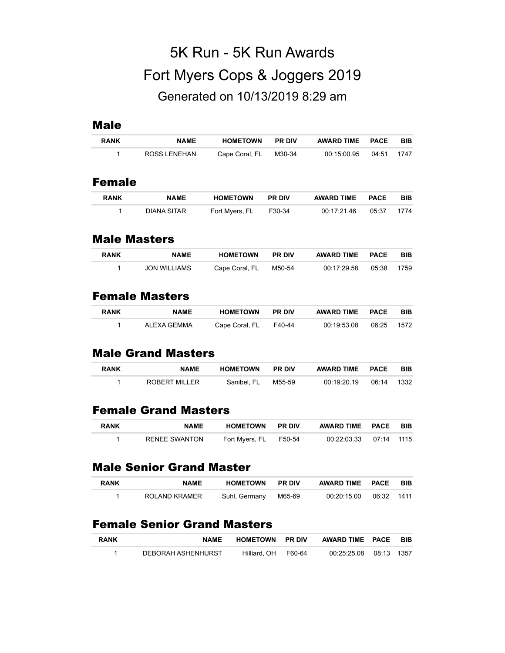# 5K Run - 5K Run Awards Fort Myers Cops & Joggers 2019 Generated on 10/13/2019 8:29 am

#### Male

| <b>RANK</b>   | <b>NAME</b>  | <b>HOMETOWN</b> | <b>PR DIV</b> | <b>AWARD TIME</b> | <b>PACE</b> | BIB        |
|---------------|--------------|-----------------|---------------|-------------------|-------------|------------|
| 1             | ROSS LENEHAN | Cape Coral, FL  | M30-34        | 00:15:00.95       | 04:51       | 1747       |
| <b>Female</b> |              |                 |               |                   |             |            |
| <b>RANK</b>   | <b>NAME</b>  | <b>HOMETOWN</b> | <b>PR DIV</b> | <b>AWARD TIME</b> | <b>PACE</b> | <b>BIB</b> |

| <b>RANN</b> | <b>NAMC</b> | <b>PUMEIUWN</b>       | <b>PRUV</b> | AWARD INC FALE           | ם ום |
|-------------|-------------|-----------------------|-------------|--------------------------|------|
|             | DIANA SITAR | Fort Myers, FL F30-34 |             | 00:17:21.46  05:37  1774 |      |

#### Male Masters

| <b>RANK</b> | <b>NAME</b>  | <b>HOMETOWN</b> | <b>PR DIV</b> | AWARD TIME PACE |       | <b>BIB</b> |
|-------------|--------------|-----------------|---------------|-----------------|-------|------------|
|             | JON WILLIAMS | Cape Coral, FL  | M50-54        | 00:17:29.58     | 05:38 | 1759       |

## Female Masters

| <b>RANK</b> | <b>NAME</b> | HOMETOWN              | <b>PR DIV</b> | AWARD TIME PACE |       | BIB  |
|-------------|-------------|-----------------------|---------------|-----------------|-------|------|
|             | ALEXA GEMMA | Cape Coral, FL F40-44 |               | 00:19:53.08     | 06:25 | 1572 |

## Male Grand Masters

| <b>RANK</b> | <b>NAME</b>   | <b>HOMETOWN</b> | <b>PR DIV</b> | AWARD TIME PACE |       | <b>BIB</b> |
|-------------|---------------|-----------------|---------------|-----------------|-------|------------|
|             | ROBERT MILLER | Sanibel. FL     | M55-59        | 00:19:20.19     | በ6:14 | 1332       |

# Female Grand Masters

| <b>RANK</b> | <b>NAME</b>   | <b>HOMETOWN PR DIV</b> | AWARD TIME PACE        | <b>BIB</b> |
|-------------|---------------|------------------------|------------------------|------------|
|             | RENEE SWANTON | Fort Myers, FL F50-54  | 00:22:03.33 07:14 1115 |            |

#### Male Senior Grand Master

| <b>RANK</b> | <b>NAME</b>   | <b>HOMETOWN PR DIV</b> | AWARD TIME PACE | <b>BIB</b> |
|-------------|---------------|------------------------|-----------------|------------|
|             | ROLAND KRAMER | Suhl, Germany  M65-69  |                 |            |

# Female Senior Grand Masters

| <b>RANK</b> | <b>NAME</b>        | <b>HOMETOWN PR DIV</b> | AWARD TIME PACE        | <b>BIB</b> |
|-------------|--------------------|------------------------|------------------------|------------|
|             | DEBORAH ASHENHURST | Hilliard. OH F60-64    | 00:25:25.08 08:13 1357 |            |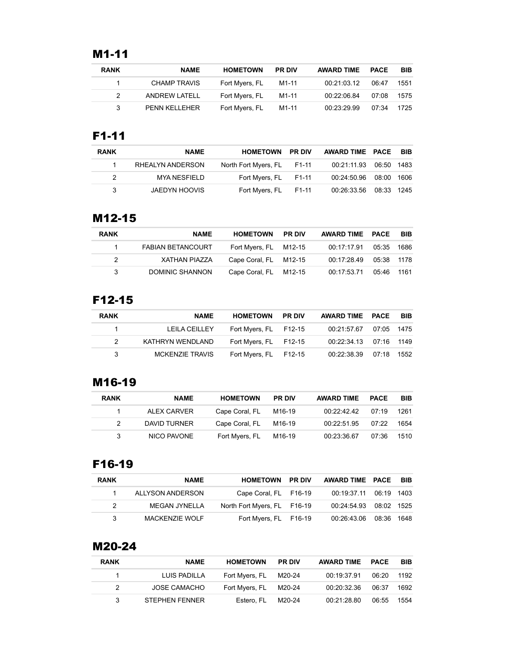# M1-11

| <b>RANK</b> | <b>NAME</b>          | <b>HOMETOWN</b> | <b>PR DIV</b> | AWARD TIME PACE |       | <b>BIB</b> |
|-------------|----------------------|-----------------|---------------|-----------------|-------|------------|
|             | CHAMP TRAVIS         | Fort Myers, FL  | M1-11         | 00:21:03.12     | 06:47 | 1551       |
|             | ANDREW LATELL        | Fort Myers, FL  | M1-11         | 00:22:06.84     | 07:08 | 1575       |
| 3           | <b>PENN KELLEHER</b> | Fort Myers, FL  | M1-11         | 00:23:29.99     | 07:34 | 1725       |

#### F1-11

| <b>RANK</b> | <b>NAME</b>          | <b>HOMETOWN PR DIV</b>     | AWARD TIME PACE          | <b>BIB</b> |
|-------------|----------------------|----------------------------|--------------------------|------------|
|             | RHEALYN ANDERSON     | North Fort Myers, FL F1-11 | 00:21:11.93  06:50  1483 |            |
| 2           | MYA NESFIELD         | Fort Myers, FL F1-11       | 00:24:50.96 08:00 1606   |            |
| 3           | <b>JAEDYN HOOVIS</b> | Fort Myers, FL F1-11       | 00.26:33.56 08:33 1245   |            |

#### M12-15

| <b>RANK</b> | <b>NAME</b>              | <b>HOMETOWN</b>       | <b>PR DIV</b> | AWARD TIME PACE |            | BIB |
|-------------|--------------------------|-----------------------|---------------|-----------------|------------|-----|
|             | <b>FABIAN BETANCOURT</b> | Fort Myers, FL M12-15 |               | 00:17:17.91     | 05:35 1686 |     |
| 2           | XATHAN PIAZZA            | Cape Coral, FL M12-15 |               | 00:17:28.49     | 05:38 1178 |     |
| 3           | DOMINIC SHANNON          | Cape Coral, FL M12-15 |               | 00:17:53.71     | 05:46 1161 |     |

# F12-15

| <b>RANK</b> | <b>NAME</b>      | <b>HOMETOWN</b>       | <b>PR DIV</b> | AWARD TIME PACE          | <b>BIB</b> |
|-------------|------------------|-----------------------|---------------|--------------------------|------------|
|             | LEILA CEILLEY    | Fort Myers, FL F12-15 |               | 00:21:57.67 07:05 1475   |            |
|             | KATHRYN WENDLAND | Fort Myers, FL F12-15 |               | 00:22:34.13  07:16  1149 |            |
| 3           | MCKENZIE TRAVIS  | Fort Myers, FL F12-15 |               | 00:22:38.39 07:18 1552   |            |

## M16-19

| <b>RANK</b> | <b>NAME</b>  | <b>HOMETOWN</b> | <b>PR DIV</b> | <b>AWARD TIME</b> | <b>PACE</b> | <b>BIB</b> |
|-------------|--------------|-----------------|---------------|-------------------|-------------|------------|
|             | ALEX CARVER  | Cape Coral, FL  | M16-19        | 00:22:42.42       | 07.19       | 1261       |
|             | DAVID TURNER | Cape Coral. FL  | M16-19        | 00:22:51.95       | 07.22       | 1654       |
| 3           | NICO PAVONE  | Fort Myers, FL  | M16-19        | 00:23:36.67       | 07:36       | 1510       |

## F16-19

| <b>RANK</b>   | <b>NAME</b>           | <b>HOMETOWN PR DIV</b>      | AWARD TIME PACE BIB    |  |
|---------------|-----------------------|-----------------------------|------------------------|--|
|               | ALLYSON ANDERSON      | Cape Coral, FL F16-19       | 00.19:37.11 06:19 1403 |  |
| $\mathcal{P}$ | <b>MEGAN JYNELLA</b>  | North Fort Myers, FL F16-19 | 00:24:54.93 08:02 1525 |  |
| 3             | <b>MACKENZIE WOLF</b> | Fort Myers, FL F16-19       | 00.26.43.06 08:36 1648 |  |

# M20-24

| <b>RANK</b>   | <b>NAME</b>           | <b>HOMETOWN</b> | <b>PR DIV</b> | <b>AWARD TIME</b> | <b>PACE</b> | <b>BIB</b> |
|---------------|-----------------------|-----------------|---------------|-------------------|-------------|------------|
|               | LUIS PADILLA          | Fort Myers, FL  | M20-24        | 00:19:37.91       | 06:20       | 1192       |
| $\mathcal{P}$ | JOSE CAMACHO          | Fort Myers, FL  | M20-24        | 00:20:32.36       | 06:37       | 1692       |
| $\mathcal{S}$ | <b>STEPHEN FENNER</b> | Estero. FL      | M20-24        | 00:21:28.80       | 06:55       | 1554       |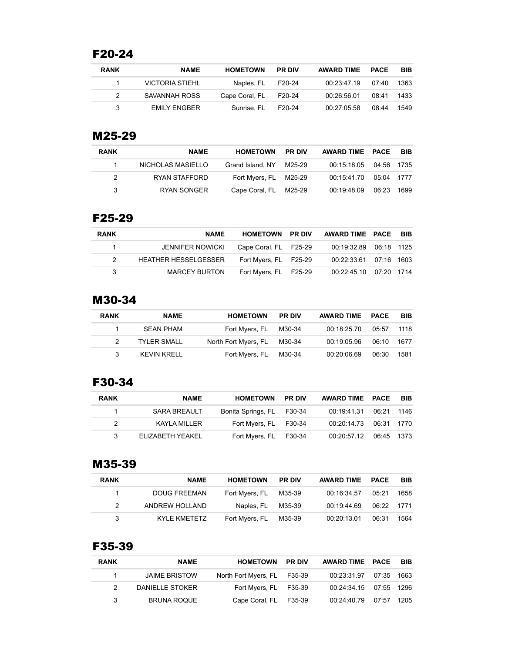# F20-24

| <b>RANK</b> | <b>NAME</b>         | <b>HOMETOWN</b>       | <b>PR DIV</b> | <b>AWARD TIME</b> | PACE  | <b>BIB</b> |
|-------------|---------------------|-----------------------|---------------|-------------------|-------|------------|
|             | VICTORIA STIEHL     | Naples. FL F20-24     |               | 00:23:47.19       | 07 40 | 1363       |
|             | SAVANNAH ROSS       | Cape Coral, FL F20-24 |               | 00:26:56.01       | 08:41 | 1433       |
|             | <b>EMILY ENGBER</b> | Sunrise, FL           | F20-24        | 00:27:05.58       | 08:44 | 1549       |

#### M25-29

| <b>RANK</b> | <b>NAME</b>       | <b>HOMETOWN</b>       | <b>PR DIV</b> | AWARD TIME PACE          | BIB  |
|-------------|-------------------|-----------------------|---------------|--------------------------|------|
|             | NICHOLAS MASIELLO | Grand Island, NY      | M25-29        | 00:15:18.05  04:56  1735 |      |
|             | RYAN STAFFORD     | Fort Myers, FL M25-29 |               | 00:15:41.70  05:04  1777 |      |
| 3           | RYAN SONGER       | Cape Coral, FL M25-29 |               | 00:19:48.09 06:23        | 1699 |

#### F25-29

| <b>RANK</b>   | <b>NAME</b>                 | <b>HOMETOWN PR DIV</b> | AWARD TIME PACE BIB      |  |
|---------------|-----------------------------|------------------------|--------------------------|--|
| $\sim$ 1      | JENNIFER NOWICKI            | Cape Coral, FL F25-29  | 00.19:32.89 06:18 1125   |  |
| $\mathcal{P}$ | <b>HEATHER HESSELGESSER</b> | Fort Myers, FL F25-29  | 00:22:33.61  07:16  1603 |  |
| 3             | <b>MARCEY BURTON</b>        | Fort Myers, FL F25-29  | 00:22:45.10 07:20 1714   |  |

# M30-34

| <b>RANK</b> | <b>NAME</b>        | <b>HOMETOWN</b>             | <b>PR DIV</b> | AWARD TIME  | <b>PACE</b> | <b>BIB</b> |
|-------------|--------------------|-----------------------------|---------------|-------------|-------------|------------|
|             | SEAN PHAM          | Fort Myers, FL M30-34       |               | 00:18:25.70 | 05:57       | 1118       |
|             | <b>TYLER SMALL</b> | North Fort Myers, FL M30-34 |               | 00:19:05.96 | 06:10       | 1677       |
|             | KEVIN KRELL        | Fort Myers, FL M30-34       |               | 00:20:06.69 | 06:30       | 1581       |

## F30-34

| <b>RANK</b>   | <b>NAME</b>      | <b>HOMETOWN</b>           | <b>PR DIV</b> | AWARD TIME PACE          | <b>BIB</b> |
|---------------|------------------|---------------------------|---------------|--------------------------|------------|
|               | SARA BREAULT     | Bonita Springs, FL F30-34 |               | 00:19:41.31 06:21 1146   |            |
| $\mathcal{P}$ | KAYLA MILLER     | Fort Myers, FL F30-34     |               | 00:20:14.73  06:31  1770 |            |
| 3             | ELIZABETH YEAKEL | Fort Myers, FL F30-34     |               | 00:20:57.12 06:45 1373   |            |

#### M35-39

| <b>RANK</b> | <b>NAME</b>         | <b>HOMETOWN</b>       | <b>PR DIV</b> | <b>AWARD TIME</b> | <b>PACE</b> | <b>BIB</b> |
|-------------|---------------------|-----------------------|---------------|-------------------|-------------|------------|
|             | <b>DOUG FREEMAN</b> | Fort Myers, FL M35-39 |               | 00:16:34.57       | 05.21       | 1658       |
|             | ANDREW HOLLAND      | Naples, FL            | M35-39        | 00:19:44.69       | 06:22 1771  |            |
| 3           | KYI F KMFTFTZ       | Fort Myers, FL        | M35-39        | 00:20:13.01       | 06:31       | 1564       |

# F35-39

| <b>RANK</b>  | <b>NAME</b>          | <b>HOMETOWN</b>             | <b>PR DIV</b> | AWARD TIME PACE        | <b>BIB</b> |
|--------------|----------------------|-----------------------------|---------------|------------------------|------------|
| $\mathbf{1}$ | <b>JAIME BRISTOW</b> | North Fort Myers, FL F35-39 |               | 00:23:31.97 07:35 1663 |            |
|              | DANIELLE STOKER      | Fort Myers, FL F35-39       |               | 00:24:34.15 07:55 1296 |            |
| 3            | <b>BRUNA ROQUE</b>   | Cape Coral, FL F35-39       |               | 00:24:40.79 07:57 1205 |            |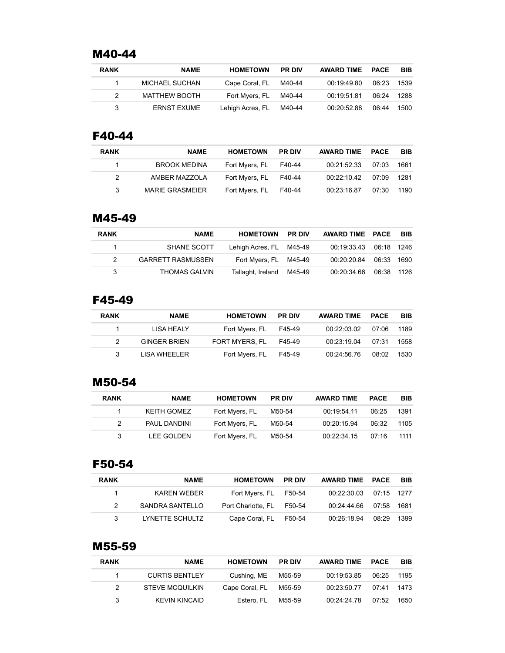## M40-44

| <b>RANK</b>   | <b>NAME</b>        | <b>HOMETOWN</b>  | <b>PR DIV</b> | <b>AWARD TIME</b> | PACE  | <b>BIB</b> |
|---------------|--------------------|------------------|---------------|-------------------|-------|------------|
|               | MICHAEL SUCHAN     | Cape Coral, FL   | M40-44        | 00:19:49.80       | 06.23 | 1539       |
| $\mathcal{P}$ | MATTHEW BOOTH      | Fort Myers, FL   | M40-44        | 00:19:51.81       | 06:24 | 1288       |
|               | <b>ERNST EXUME</b> | Lehigh Acres, FL | M40-44        | 00:20:52.88       | 06:44 | 1500       |

#### F40-44

| <b>RANK</b> | <b>NAME</b>            | <b>HOMETOWN</b>       | <b>PR DIV</b> | <b>AWARD TIME</b> | PACE  | <b>BIB</b> |
|-------------|------------------------|-----------------------|---------------|-------------------|-------|------------|
|             | <b>BROOK MEDINA</b>    | Fort Myers, FL F40-44 |               | 00:21:52.33       | 07:03 | 1661       |
|             | AMBER MAZZOLA          | Fort Myers, FL F40-44 |               | 00:22:10.42       | 07:09 | 1281       |
| 3           | <b>MARIE GRASMEIER</b> | Fort Myers, FL F40-44 |               | 00:23:16.87       | 07:30 | 1190       |

#### M45-49

| <b>NAME</b>              | <b>HOMETOWN</b> |                                                                                               |            | <b>BIB</b>                                                                         |
|--------------------------|-----------------|-----------------------------------------------------------------------------------------------|------------|------------------------------------------------------------------------------------|
| SHANE SCOTT              |                 |                                                                                               |            |                                                                                    |
| <b>GARRETT RASMUSSEN</b> |                 |                                                                                               |            |                                                                                    |
| <b>THOMAS GALVIN</b>     |                 |                                                                                               | 06:38 1126 |                                                                                    |
|                          |                 | <b>PR DIV</b><br>Lehigh Acres, FL M45-49<br>Fort Myers, FL M45-49<br>Tallaght, Ireland M45-49 |            | AWARD TIME PACE<br>00:19:33.43 06:18 1246<br>00:20:20.84 06:33 1690<br>00:20:34.66 |

# F45-49

| <b>RANK</b> | <b>NAME</b>  | <b>HOMETOWN</b> | <b>PR DIV</b> | <b>AWARD TIME</b> | <b>PACE</b> | <b>BIB</b> |
|-------------|--------------|-----------------|---------------|-------------------|-------------|------------|
|             | LISA HEALY   | Fort Myers, FL  | F45-49        | 00:22:03.02       | 07:06       | 1189       |
|             | GINGER BRIEN | FORT MYERS. FL  | F45-49        | 00:23:19.04       | 07:31       | 1558       |
|             | LISA WHEELER | Fort Myers, FL  | F45-49        | 00:24:56.76       | 08:02       | 1530       |

## M50-54

| <b>RANK</b> | <b>NAME</b>  | <b>HOMETOWN</b> | <b>PR DIV</b> | <b>AWARD TIME</b> | <b>PACE</b> | <b>BIB</b> |
|-------------|--------------|-----------------|---------------|-------------------|-------------|------------|
|             | KEITH GOMEZ  | Fort Myers, FL  | M50-54        | 00:19:54.11       | 06:25       | 1391       |
|             | PAUL DANDINI | Fort Myers, FL  | M50-54        | 00:20:15.94       | 06:32       | 1105       |
| 3           | LEE GOLDEN   | Fort Myers, FL  | M50-54        | 00:22:34.15       | 07.16       | 1111       |

#### F50-54

| <b>RANK</b> | <b>NAME</b>     | <b>HOMETOWN</b>           | <b>PR DIV</b> | AWARD TIME PACE        |       | BIB  |
|-------------|-----------------|---------------------------|---------------|------------------------|-------|------|
|             | KAREN WEBER     | Fort Myers, FL F50-54     |               | 00.22:30.03 07:15 1277 |       |      |
| 2           | SANDRA SANTELLO | Port Charlotte, FL F50-54 |               | 00.24.44.66 07.58 1681 |       |      |
| 3           | LYNETTE SCHULTZ | Cape Coral, FL            | F50-54        | 00:26:18.94            | 08:29 | 1399 |

# M55-59

| <b>RANK</b>   | <b>NAME</b>            | <b>HOMETOWN</b> | <b>PR DIV</b> | <b>AWARD TIME</b> | <b>PACE</b> | <b>BIB</b> |
|---------------|------------------------|-----------------|---------------|-------------------|-------------|------------|
|               | <b>CURTIS BENTLEY</b>  | Cushing, ME     | M55-59        | 00:19:53.85       | 06:25       | 1195       |
| $\mathcal{P}$ | <b>STEVE MCQUILKIN</b> | Cape Coral, FL  | M55-59        | 00:23:50.77       | 07.41       | 1473       |
| 3             | KEVIN KINCAID          | Estero, FL      | M55-59        | 00:24:24.78       | 07.52       | 1650       |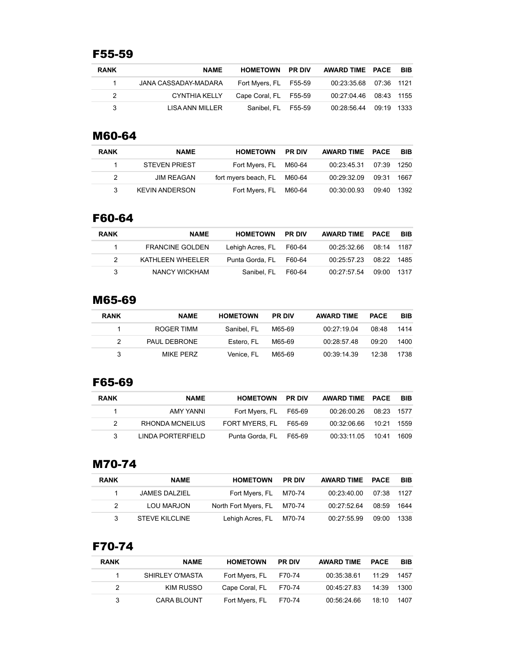# F55-59

| <b>RANK</b> | <b>NAME</b>          | <b>HOMETOWN PR DIV</b> | AWARD TIME PACE        | <b>BIB</b> |
|-------------|----------------------|------------------------|------------------------|------------|
|             | JANA CASSADAY-MADARA | Fort Myers, FL F55-59  | 00.23:35.68 07:36 1121 |            |
| 2           | CYNTHIA KELLY        | Cape Coral, FL F55-59  | 00:27:04.46 08:43 1155 |            |
| 3           | LISA ANN MILLER      | Sanibel, FL F55-59     | 00:28:56.44 09:19 1333 |            |

#### M60-64

| <b>RANK</b> | <b>NAME</b>           | <b>HOMETOWN</b>             | <b>PR DIV</b> | AWARD TIME PACE        |       | - BIB |
|-------------|-----------------------|-----------------------------|---------------|------------------------|-------|-------|
|             | <b>STEVEN PRIEST</b>  | Fort Myers, FL M60-64       |               | 00:23:45.31 07:39 1250 |       |       |
| 2           | <b>JIM REAGAN</b>     | fort myers beach, FL M60-64 |               | 00:29:32.09            | 09:31 | 1667  |
|             | <b>KEVIN ANDERSON</b> | Fort Myers, FL M60-64       |               | 00:30:00.93 09:40 1392 |       |       |

#### F60-64

| <b>RANK</b> | <b>NAME</b>            | <b>HOMETOWN</b>         | <b>PR DIV</b> | AWARD TIME PACE        | <b>BIB</b> |
|-------------|------------------------|-------------------------|---------------|------------------------|------------|
|             | <b>FRANCINE GOLDEN</b> | Lehigh Acres, FL F60-64 |               | 00:25:32.66 08:14 1187 |            |
|             | KATHLEEN WHEELER       | Punta Gorda, FL F60-64  |               | 00:25:57.23 08:22 1485 |            |
| 3           | NANCY WICKHAM          | Sanibel. FL             | F60-64        | 00:27:57:54 09:00 1317 |            |

# M65-69

| <b>RANK</b> | <b>NAME</b>  | <b>HOMETOWN</b> | <b>PR DIV</b> | <b>AWARD TIME</b> | <b>PACE</b> | <b>BIB</b> |
|-------------|--------------|-----------------|---------------|-------------------|-------------|------------|
|             | ROGER TIMM   | Sanibel, FL     | M65-69        | 00:27:19.04       | 08:48       | 1414       |
|             | PAUL DEBRONE | Estero, FL      | M65-69        | 00:28:57.48       | 09.20       | 1400       |
| 3           | MIKF PFRZ    | Venice, FL      | M65-69        | 00:39:14.39       | 12.38       | 1738       |

## F65-69

| <b>RANK</b> | <b>NAME</b>            | <b>HOMETOWN</b>        | <b>PR DIV</b> | AWARD TIME PACE          | <b>BIB</b> |
|-------------|------------------------|------------------------|---------------|--------------------------|------------|
|             | AMY YANNI              | Fort Myers, FL F65-69  |               | 00:26:00.26 08:23 1577   |            |
| 2           | <b>RHONDA MCNEILUS</b> | FORT MYERS. FL F65-69  |               | 00:32:06.66 10:21        | 1559       |
|             | LINDA PORTERFIELD      | Punta Gorda, FL F65-69 |               | 00:33:11.05  10:41  1609 |            |

#### M70-74

| <b>RANK</b>   | <b>NAME</b>           | <b>HOMETOWN</b>             | <b>PR DIV</b> | AWARD TIME PACE        |       | <b>BIB</b> |
|---------------|-----------------------|-----------------------------|---------------|------------------------|-------|------------|
|               | JAMES DALZIEL         | Fort Myers, FL M70-74       |               | 00.23.40.00 07:38 1127 |       |            |
| $\mathcal{P}$ | LOU MARJON            | North Fort Myers, FL M70-74 |               | 00:27:52.64            | 08:59 | 1644       |
| 3             | <b>STEVE KILCLINE</b> | Lehigh Acres, FL M70-74     |               | 00:27:55.99            | 09:00 | 1338       |

# F70-74

| <b>RANK</b> | <b>NAME</b>        | <b>HOMETOWN</b> | <b>PR DIV</b> | <b>AWARD TIME</b> | <b>PACE</b> | <b>BIB</b> |
|-------------|--------------------|-----------------|---------------|-------------------|-------------|------------|
|             | SHIRLEY O'MASTA    | Fort Myers, FL  | F70-74        | 00:35:38.61       | 11:29       | 1457       |
| 2           | KIM RUSSO          | Cape Coral, FL  | F70-74        | 00.45.27.83       | 14:39       | 1300       |
| 3           | <b>CARA BLOUNT</b> | Fort Myers, FL  | F70-74        | 00:56:24.66       | 18:10       | 1407       |